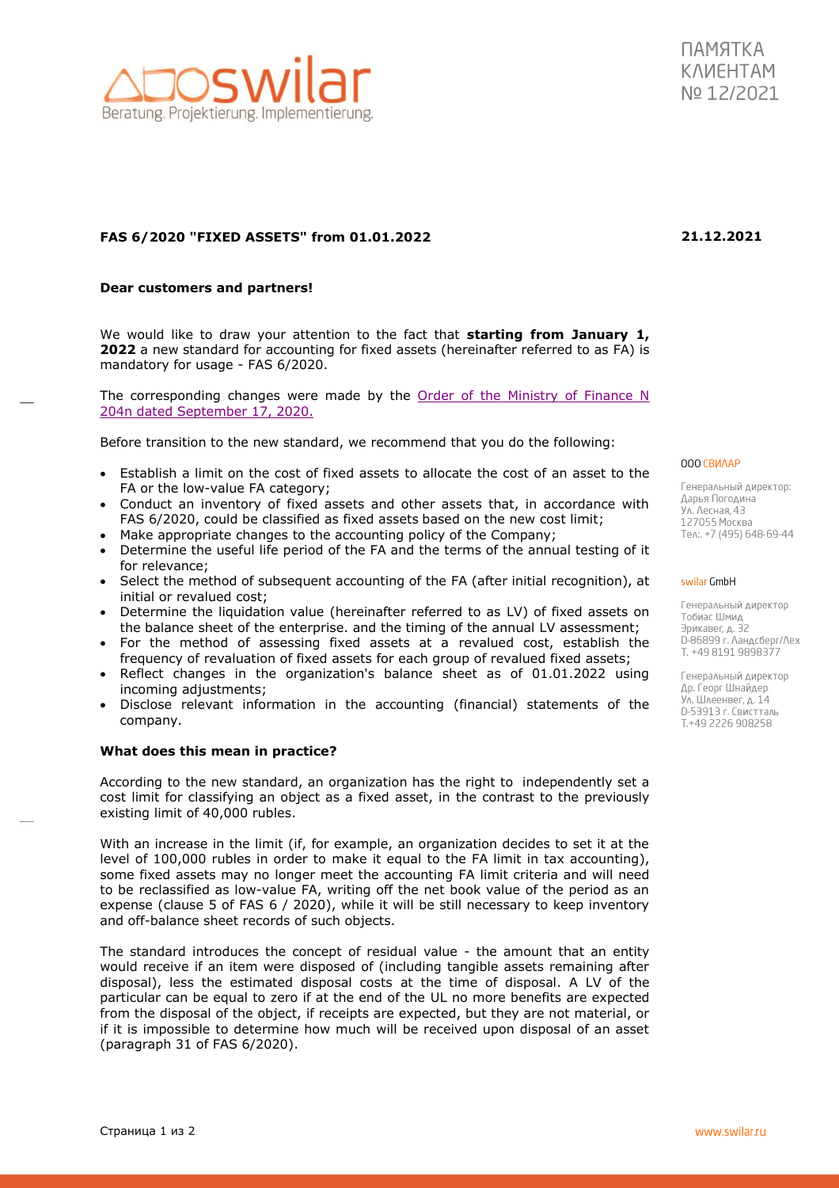## **FAS 6/2020 "FIXED ASSETS" from 01.01.2022**

## **Dear customers and partners!**

We would like to draw your attention to the fact that **starting from January 1, 2022** a new standard for accounting for fixed assets (hereinafter referred to as FA) is mandatory for usage - FAS 6/2020.

The corresponding changes were made by the Order of the Ministry of Finance  $N$ [204n dated September 17, 2020.](http://publication.pravo.gov.ru/Document/View/0001202010160010#:~:text=%D0%9F%D1%80%D0%B8%D0%BA%D0%B0%D0%B7%20%D0%9C%D0%B8%D0%BD%D0%B8%D1%81%D1%82%D0%B5%D1%80%D1%81%D1%82%D0%B2%D0%B0%20%D1%84%D0%B8%D0%BD%D0%B0%D0%BD%D1%81%D0%BE%D0%B2%20%D0%A0%D0%BE%D1%81%D1%81%D0%B8%D0%B9%D1%81%D0%BA%D0%BE%D0%B9%20%D0%A4%D0%B5%D0%B4%)

Before transition to the new standard, we recommend that you do the following:

- Establish a limit on the cost of fixed assets to allocate the cost of an asset to the FA or the low-value FA category;
- Conduct an inventory of fixed assets and other assets that, in accordance with FAS 6/2020, could be classified as fixed assets based on the new cost limit;
- Make appropriate changes to the accounting policy of the Company;
- Determine the useful life period of the FA and the terms of the annual testing of it for relevance;
- Select the method of subsequent accounting of the FA (after initial recognition), at initial or revalued cost;
- Determine the liquidation value (hereinafter referred to as LV) of fixed assets on the balance sheet of the enterprise. and the timing of the annual LV assessment;
- For the method of assessing fixed assets at a revalued cost, establish the frequency of revaluation of fixed assets for each group of revalued fixed assets;
- Reflect changes in the organization's balance sheet as of 01.01.2022 using incoming adjustments;
- Disclose relevant information in the accounting (financial) statements of the company.

## **What does this mean in practice?**

According to the new standard, an organization has the right to independently set a cost limit for classifying an object as a fixed asset, in the contrast to the previously existing limit of 40,000 rubles.

With an increase in the limit (if, for example, an organization decides to set it at the level of 100,000 rubles in order to make it equal to the FA limit in tax accounting), some fixed assets may no longer meet the accounting FA limit criteria and will need to be reclassified as low-value FA, writing off the net book value of the period as an expense (clause 5 of FAS 6 / 2020), while it will be still necessary to keep inventory and off-balance sheet records of such objects.

The standard introduces the concept of residual value - the amount that an entity would receive if an item were disposed of (including tangible assets remaining after disposal), less the estimated disposal costs at the time of disposal. A LV of the particular can be equal to zero if at the end of the UL no more benefits are expected from the disposal of the object, if receipts are expected, but they are not material, or if it is impossible to determine how much will be received upon disposal of an asset (paragraph 31 of FAS 6/2020).

000 CBMAAP

Генеральный директор: Дарья Погодина Ул. Лесная, 43 127055 Москва Ten:. +7 (495) 648-69-44

#### swilar GmbH

Генеральный директор Тобиас Шмид Эрикавег, д. 32 D-86899 г. Ландсберг/Лех T. +49 8191 9898377

Генеральный директор Др. Георг Шнайдер Ул. Шлеенвег, д. 14 D-53913 г. Свистталь T.+49 2226 908258



# **21.12.2021**